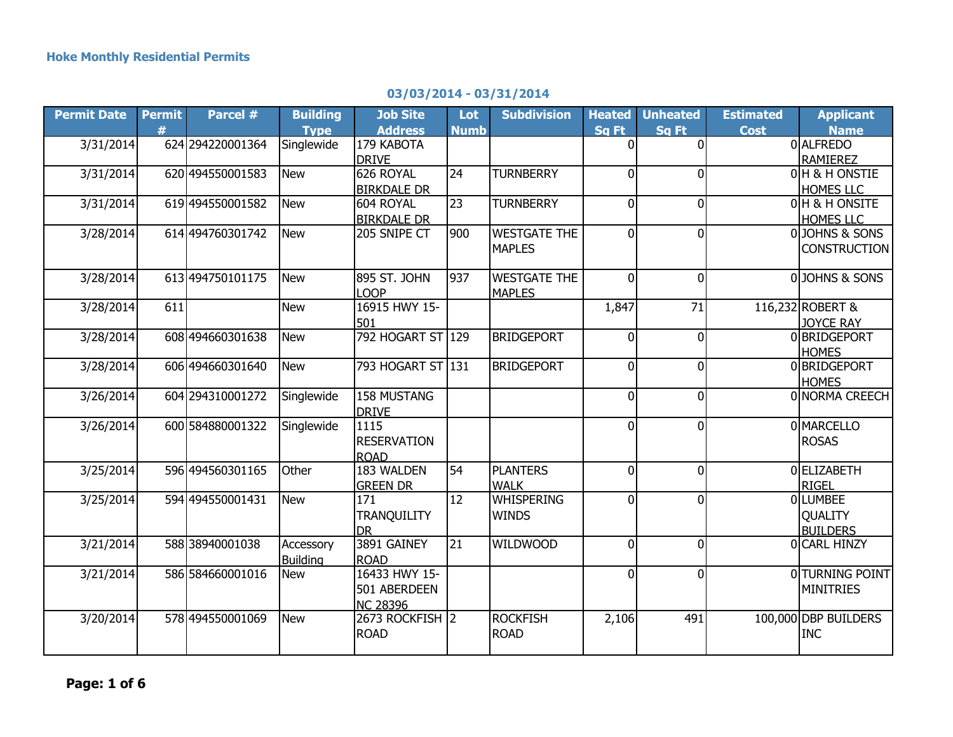## **03/03/2014 - 03/31/2014**

| <b>Permit Date</b> | <b>Permit</b> | Parcel #          | <b>Building</b> | <b>Job Site</b>    | Lot             | <b>Subdivision</b>  | <b>Heated</b>  | <b>Unheated</b> | <b>Estimated</b> | <b>Applicant</b>       |
|--------------------|---------------|-------------------|-----------------|--------------------|-----------------|---------------------|----------------|-----------------|------------------|------------------------|
|                    | #             |                   | <b>Type</b>     | <b>Address</b>     | <b>Numb</b>     |                     | Sq Ft          | Sq Ft           | <b>Cost</b>      | <b>Name</b>            |
| 3/31/2014          |               | 624 294220001364  | Singlewide      | 179 KABOTA         |                 |                     | $\Omega$       |                 |                  | <b>O</b> ALFREDO       |
|                    |               |                   |                 | <b>DRIVE</b>       |                 |                     |                |                 |                  | <b>RAMIEREZ</b>        |
| 3/31/2014          |               | 620 494550001583  | <b>New</b>      | 626 ROYAL          | 24              | <b>TURNBERRY</b>    | $\overline{0}$ | O               |                  | 0 H & H ONSTIE         |
|                    |               |                   |                 | <b>BIRKDALE DR</b> |                 |                     |                |                 |                  | <b>HOMES LLC</b>       |
| 3/31/2014          |               | 619 494550001582  | <b>New</b>      | 604 ROYAL          | $\overline{23}$ | <b>TURNBERRY</b>    | $\overline{0}$ | $\Omega$        |                  | 0 H & H ONSITE         |
|                    |               |                   |                 | <b>BIRKDALE DR</b> |                 |                     |                |                 |                  | <b>HOMES LLC</b>       |
| 3/28/2014          |               | 614 494760301742  | <b>New</b>      | 205 SNIPE CT       | 900             | <b>WESTGATE THE</b> | $\mathbf 0$    | $\overline{0}$  |                  | 0JOHNS & SONS          |
|                    |               |                   |                 |                    |                 | <b>MAPLES</b>       |                |                 |                  | <b>CONSTRUCTION</b>    |
|                    |               |                   |                 |                    |                 |                     |                |                 |                  |                        |
| 3/28/2014          |               | 613 494750101175  | <b>New</b>      | 895 ST. JOHN       | 937             | <b>WESTGATE THE</b> | $\mathbf{0}$   | $\Omega$        |                  | 0JOHNS & SONS          |
|                    |               |                   |                 | <b>LOOP</b>        |                 | <b>MAPLES</b>       |                |                 |                  |                        |
| 3/28/2014          | 611           |                   | <b>New</b>      | 16915 HWY 15-      |                 |                     | 1,847          | 71              |                  | 116,232 ROBERT &       |
|                    |               |                   |                 | 501                |                 |                     |                |                 |                  | <b>JOYCE RAY</b>       |
| 3/28/2014          |               | 608 494660301638  | <b>New</b>      | 792 HOGART ST 129  |                 | <b>BRIDGEPORT</b>   | $\overline{0}$ | $\Omega$        |                  | 0BRIDGEPORT            |
|                    |               |                   |                 |                    |                 |                     |                |                 |                  | <b>HOMES</b>           |
| 3/28/2014          |               | 606 494660301640  | <b>New</b>      | 793 HOGART ST 131  |                 | <b>BRIDGEPORT</b>   | $\mathbf 0$    | $\mathbf{0}$    |                  | 0BRIDGEPORT            |
|                    |               |                   |                 |                    |                 |                     |                |                 |                  | <b>HOMES</b>           |
| 3/26/2014          |               | 604 294310001272  | Singlewide      | <b>158 MUSTANG</b> |                 |                     | $\mathbf 0$    | $\overline{0}$  |                  | 0 NORMA CREECH         |
|                    |               |                   |                 | DRIVE              |                 |                     |                |                 |                  |                        |
| 3/26/2014          |               | 600 584880001322  | Singlewide      | 1115               |                 |                     | $\mathbf 0$    | $\overline{0}$  |                  | 0 MARCELLO             |
|                    |               |                   |                 | <b>RESERVATION</b> |                 |                     |                |                 |                  | <b>ROSAS</b>           |
|                    |               |                   |                 | <b>ROAD</b>        |                 |                     |                |                 |                  |                        |
| 3/25/2014          |               | 596 4945 60301165 | Other           | 183 WALDEN         | 54              | <b>PLANTERS</b>     | $\mathbf 0$    | $\overline{0}$  |                  | 0ELIZABETH             |
|                    |               |                   |                 | <b>GREEN DR</b>    |                 | <b>WALK</b>         |                |                 |                  | <b>RIGEL</b>           |
| 3/25/2014          |               | 594 494550001431  | <b>New</b>      | 171                | 12              | <b>WHISPERING</b>   | $\mathbf 0$    | $\Omega$        |                  | <b>OLUMBEE</b>         |
|                    |               |                   |                 | <b>TRANQUILITY</b> |                 | <b>WINDS</b>        |                |                 |                  | <b>QUALITY</b>         |
|                    |               |                   |                 | Idr.               |                 |                     |                |                 |                  | <b>BUILDERS</b>        |
| 3/21/2014          |               | 58838940001038    | Accessory       | 3891 GAINEY        | 21              | <b>WILDWOOD</b>     | $\mathbf 0$    | $\mathbf{0}$    |                  | 0 CARL HINZY           |
|                    |               |                   | <b>Building</b> | <b>ROAD</b>        |                 |                     |                |                 |                  |                        |
| 3/21/2014          |               | 586 584660001016  | <b>New</b>      | 16433 HWY 15-      |                 |                     | $\overline{0}$ | $\overline{0}$  |                  | <b>OITURNING POINT</b> |
|                    |               |                   |                 | 501 ABERDEEN       |                 |                     |                |                 |                  | <b>MINITRIES</b>       |
|                    |               |                   |                 | <b>NC 28396</b>    |                 |                     |                |                 |                  |                        |
| 3/20/2014          |               | 578 494550001069  | <b>New</b>      | 2673 ROCKFISH 2    |                 | <b>ROCKFISH</b>     | 2,106          | 491             |                  | 100,000 DBP BUILDERS   |
|                    |               |                   |                 | <b>ROAD</b>        |                 | <b>ROAD</b>         |                |                 |                  | <b>INC</b>             |
|                    |               |                   |                 |                    |                 |                     |                |                 |                  |                        |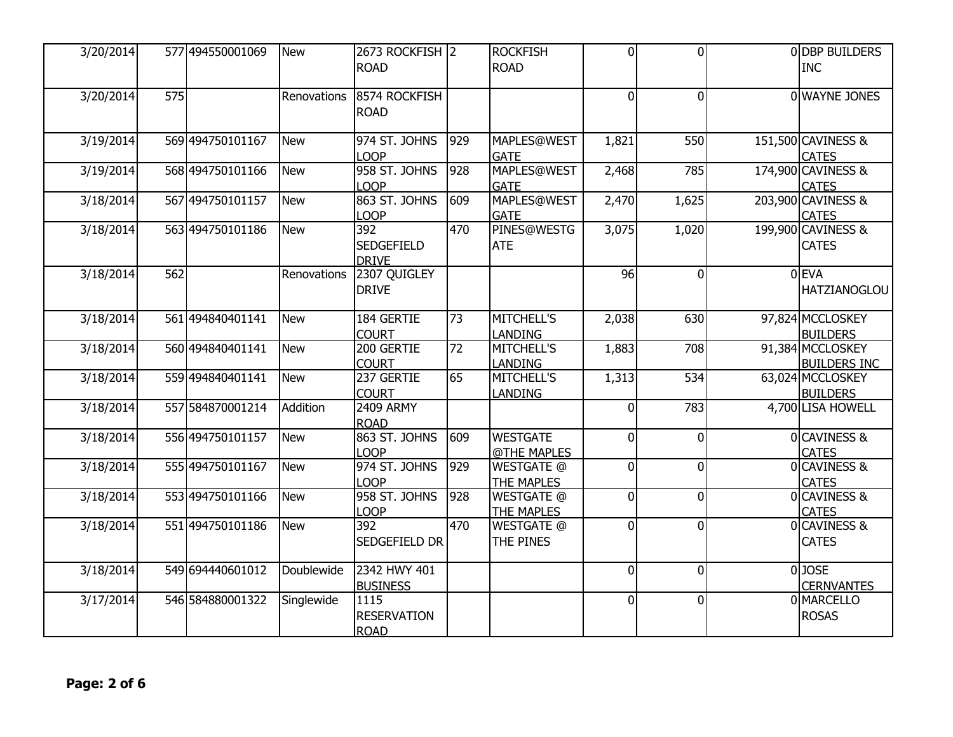| 3/20/2014 |     | 577 494550001069 | <b>New</b>  | 2673 ROCKFISH 2              |     | <b>ROCKFISH</b>                   | $\Omega$       | $\Omega$       | 0 DBP BUILDERS                     |
|-----------|-----|------------------|-------------|------------------------------|-----|-----------------------------------|----------------|----------------|------------------------------------|
|           |     |                  |             | <b>ROAD</b>                  |     | <b>ROAD</b>                       |                |                | <b>INC</b>                         |
| 3/20/2014 | 575 |                  | Renovations | 8574 ROCKFISH                |     |                                   | $\Omega$       | $\Omega$       | 0 WAYNE JONES                      |
|           |     |                  |             | ROAD                         |     |                                   |                |                |                                    |
| 3/19/2014 |     | 569 494750101167 | <b>New</b>  | 974 ST. JOHNS                | 929 | MAPLES@WEST                       | 1,821          | 550            | 151,500 CAVINESS &                 |
|           |     |                  |             | <b>LOOP</b>                  |     | <b>GATE</b>                       |                |                | <b>CATES</b>                       |
| 3/19/2014 |     | 568 494750101166 | <b>New</b>  | 958 ST. JOHNS                | 928 | <b>MAPLES@WEST</b>                | 2,468          | 785            | 174,900 CAVINESS &                 |
|           |     |                  |             | <b>LOOP</b>                  |     | <b>GATE</b>                       |                |                | <b>CATES</b>                       |
| 3/18/2014 |     | 567 494750101157 | <b>New</b>  | 863 ST. JOHNS<br><b>LOOP</b> | 609 | <b>MAPLES@WEST</b><br><b>GATE</b> | 2,470          | 1,625          | 203,900 CAVINESS &<br><b>CATES</b> |
| 3/18/2014 |     | 563 494750101186 | <b>New</b>  | 392                          | 470 | PINES@WESTG                       | 3,075          | 1,020          | 199,900 CAVINESS &                 |
|           |     |                  |             | <b>SEDGEFIELD</b>            |     | <b>ATE</b>                        |                |                | <b>CATES</b>                       |
|           |     |                  |             | <b>DRIVE</b>                 |     |                                   |                |                |                                    |
| 3/18/2014 | 562 |                  | Renovations | 2307 QUIGLEY                 |     |                                   | 96             | $\Omega$       | $0$ EVA                            |
|           |     |                  |             | <b>DRIVE</b>                 |     |                                   |                |                | <b>HATZIANOGLOU</b>                |
|           |     |                  |             |                              |     |                                   |                |                |                                    |
| 3/18/2014 |     | 561 494840401141 | <b>New</b>  | 184 GERTIE                   | 73  | <b>MITCHELL'S</b>                 | 2,038          | 630            | 97,824 MCCLOSKEY                   |
|           |     |                  |             | <b>COURT</b>                 |     | <b>LANDING</b>                    |                |                | <b>BUILDERS</b>                    |
| 3/18/2014 |     | 560 494840401141 | <b>New</b>  | 200 GERTIE                   | 72  | <b>MITCHELL'S</b>                 | 1,883          | 708            | 91,384 MCCLOSKEY                   |
|           |     |                  |             | <b>COURT</b>                 |     | <b>LANDING</b>                    |                |                | <b>BUILDERS INC</b>                |
| 3/18/2014 |     | 559 494840401141 | <b>New</b>  | 237 GERTIE                   | 65  | MITCHELL'S                        | 1,313          | 534            | 63,024 MCCLOSKEY                   |
|           |     |                  |             | <b>COURT</b>                 |     | <b>LANDING</b>                    |                |                | <b>BUILDERS</b>                    |
| 3/18/2014 |     | 557 584870001214 | Addition    | <b>2409 ARMY</b>             |     |                                   | 0              | 783            | 4,700 LISA HOWELL                  |
|           |     |                  |             | <b>ROAD</b>                  |     |                                   |                |                |                                    |
| 3/18/2014 |     | 556 494750101157 | <b>New</b>  | 863 ST. JOHNS                | 609 | <b>WESTGATE</b>                   | $\Omega$       | 0              | <b>OCAVINESS &amp;</b>             |
|           |     |                  |             | <b>LOOP</b>                  |     | @THE MAPLES                       |                |                | <b>CATES</b>                       |
| 3/18/2014 |     | 555 494750101167 | <b>New</b>  | 974 ST. JOHNS                | 929 | WESTGATE @                        | $\Omega$       | $\Omega$       | 0 CAVINESS &                       |
|           |     |                  |             | <b>LOOP</b>                  |     | <b>THE MAPLES</b>                 |                |                | <b>CATES</b>                       |
| 3/18/2014 |     | 553 494750101166 | <b>New</b>  | 958 ST. JOHNS                | 928 | <b>WESTGATE @</b>                 | $\Omega$       | $\Omega$       | 0 CAVINESS &                       |
|           |     |                  |             | <b>LOOP</b>                  |     | <b>THE MAPLES</b>                 |                |                | <b>CATES</b>                       |
| 3/18/2014 |     | 551 494750101186 | <b>New</b>  | 392                          | 470 | <b>WESTGATE @</b>                 | $\mathbf{0}$   | $\mathbf{0}$   | 0 CAVINESS &                       |
|           |     |                  |             | SEDGEFIELD DR                |     | THE PINES                         |                |                | <b>CATES</b>                       |
| 3/18/2014 |     | 549 694440601012 | Doublewide  | 2342 HWY 401                 |     |                                   | $\mathbf 0$    | 0              | $0$ JOSE                           |
|           |     |                  |             | <b>BUSINESS</b>              |     |                                   |                |                | <b>CERNVANTES</b>                  |
| 3/17/2014 |     | 546 584880001322 | Singlewide  | 1115                         |     |                                   | $\overline{0}$ | $\overline{0}$ | 0 MARCELLO                         |
|           |     |                  |             | <b>RESERVATION</b>           |     |                                   |                |                | <b>ROSAS</b>                       |
|           |     |                  |             | <b>ROAD</b>                  |     |                                   |                |                |                                    |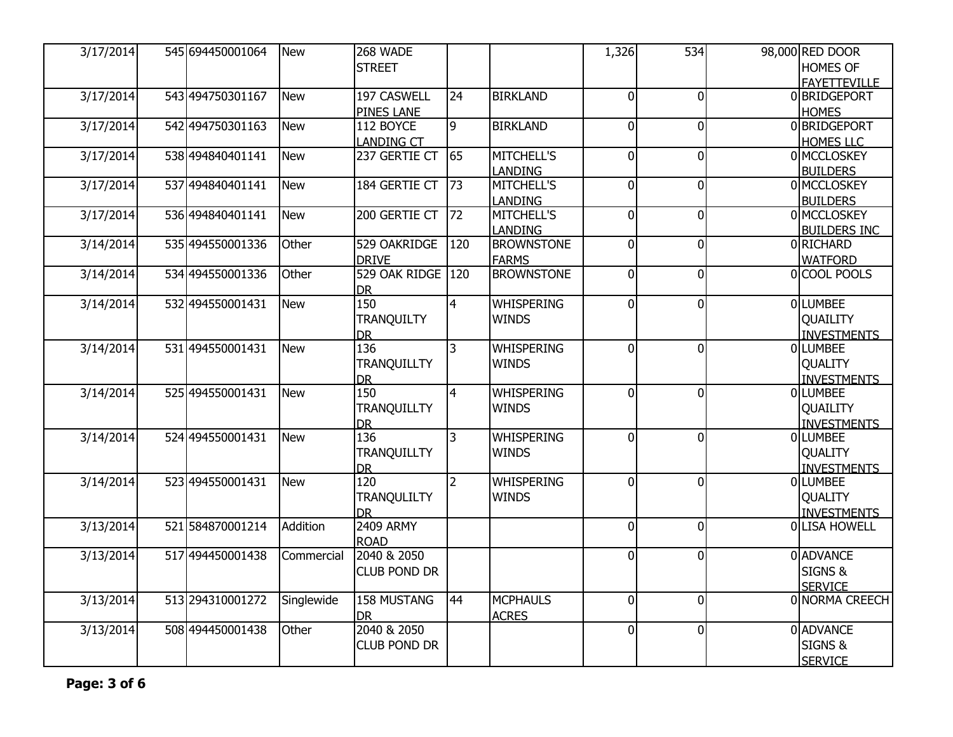| <b>HOMES OF</b><br><b>STREET</b><br><b>FAYETTEVILLE</b><br>3/17/2014<br>543 494750301167<br>197 CASWELL<br><b>BIRKLAND</b><br>24<br>$\overline{0}$<br>$\overline{0}$<br>0 BRIDGEPORT<br><b>New</b><br><b>PINES LANE</b><br><b>HOMES</b><br>3/17/2014<br>9<br><b>BIRKLAND</b><br>$\overline{0}$<br>0 BRIDGEPORT<br>542 494750301163<br><b>New</b><br>112 BOYCE<br>$\overline{0}$<br><b>LANDING CT</b><br><b>HOMES LLC</b><br>65<br><b>MITCHELL'S</b><br> 0 <br>0 MCCLOSKEY<br>3/17/2014<br>538 494840401141<br>237 GERTIE CT<br>$\overline{0}$<br><b>New</b><br>LANDING<br><b>BUILDERS</b><br>3/17/2014<br>73<br>$\overline{0}$<br>537 494840401141<br><b>New</b><br>184 GERTIE CT<br><b>MITCHELL'S</b><br>$\overline{0}$<br>0 MCCLOSKEY<br>LANDING<br><b>BUILDERS</b><br>3/17/2014<br>200 GERTIE CT<br>$\overline{0}$<br> 0 <br>0 MCCLOSKEY<br>536 494840401141<br><b>New</b><br>72<br><b>MITCHELL'S</b><br>LANDING<br><b>BUILDERS INC</b><br>529 OAKRIDGE<br>$\overline{0}$<br> 0 <br>3/14/2014<br>535 494550001336<br>Other<br>120<br><b>BROWNSTONE</b><br>0RICHARD<br><b>DRIVE</b><br><b>FARMS</b><br><b>WATFORD</b><br>529 OAK RIDGE<br><b>BROWNSTONE</b><br>3/14/2014<br>534 494550001336<br>Other<br>120<br>$\overline{0}$<br>$\overline{0}$<br>0 COOL POOLS<br><b>DR</b><br>3/14/2014<br>150<br>$\overline{4}$<br><b>WHISPERING</b><br>$\overline{0}$<br><b>OLUMBEE</b><br>532 494550001431<br><b>New</b><br>$\Omega$<br><b>TRANQUILTY</b><br><b>WINDS</b><br>QUAILITY<br><b>INVESTMENTS</b><br><b>DR</b><br>136<br>3/14/2014<br>531 494550001431<br><b>New</b><br>3<br><b>WHISPERING</b><br>$\overline{0}$<br>$\overline{0}$<br><b>OLLUMBEE</b><br><b>TRANQUILLTY</b><br><b>WINDS</b><br><b>QUALITY</b><br><b>INVESTMENTS</b><br><b>DR</b><br>150<br>$\overline{4}$<br><b>WHISPERING</b><br>$\overline{0}$<br>3/14/2014<br>525 494550001431<br><b>New</b><br>$\Omega$<br><b>OLUMBEE</b><br><b>TRANQUILLTY</b><br><b>WINDS</b><br>QUAILITY<br><b>INVESTMENTS</b><br><b>DR</b><br>136<br>$\overline{3}$<br><b>WHISPERING</b><br>$\overline{0}$<br>3/14/2014<br>524 494550001431<br><b>New</b><br>$\Omega$<br><b>OLUMBEE</b><br>TRANQUILLTY<br><b>WINDS</b><br><b>QUALITY</b><br><b>INVESTMENTS</b><br><b>DR</b><br>120<br>523 494550001431<br><b>WHISPERING</b><br>$\Omega$<br>$\overline{0}$<br>0LUMBEE<br>3/14/2014<br><b>New</b><br>$\overline{2}$<br><b>TRANQULILTY</b><br><b>WINDS</b><br><b>OUALITY</b><br><b>DR</b><br><b>INVESTMENTS</b><br><b>2409 ARMY</b><br>Addition<br>$\overline{0}$<br>3/13/2014<br>521 584870001214<br>$\overline{0}$<br>0 LISA HOWELL<br><b>ROAD</b><br>2040 & 2050<br>0 ADVANCE<br>3/13/2014<br>517494450001438<br>$\overline{0}$<br> 0 <br>Commercial<br>SIGNS &<br><b>CLUB POND DR</b><br><b>SERVICE</b><br>3/13/2014<br>513 294310001272<br><b>158 MUSTANG</b><br>44<br><b>MCPHAULS</b><br>$\overline{0}$<br> 0 <br>0 NORMA CREECH<br>Singlewide<br><b>DR</b><br><b>ACRES</b><br>2040 & 2050<br>$\overline{0}$<br>0 ADVANCE<br>3/13/2014<br>508 494450001438<br>Other<br> 0 <br>SIGNS &<br><b>CLUB POND DR</b> | 3/17/2014 | 545 694450001064 | <b>New</b> | 268 WADE |  | 1,326 | 534 | 98,000 RED DOOR |
|-----------------------------------------------------------------------------------------------------------------------------------------------------------------------------------------------------------------------------------------------------------------------------------------------------------------------------------------------------------------------------------------------------------------------------------------------------------------------------------------------------------------------------------------------------------------------------------------------------------------------------------------------------------------------------------------------------------------------------------------------------------------------------------------------------------------------------------------------------------------------------------------------------------------------------------------------------------------------------------------------------------------------------------------------------------------------------------------------------------------------------------------------------------------------------------------------------------------------------------------------------------------------------------------------------------------------------------------------------------------------------------------------------------------------------------------------------------------------------------------------------------------------------------------------------------------------------------------------------------------------------------------------------------------------------------------------------------------------------------------------------------------------------------------------------------------------------------------------------------------------------------------------------------------------------------------------------------------------------------------------------------------------------------------------------------------------------------------------------------------------------------------------------------------------------------------------------------------------------------------------------------------------------------------------------------------------------------------------------------------------------------------------------------------------------------------------------------------------------------------------------------------------------------------------------------------------------------------------------------------------------------------------------------------------------------------------------------------------------------------------------------------------------------------------------------------------------------------------------------------------------------------------------------------------------------------------------------------------------------------------------------------------------------------------------------|-----------|------------------|------------|----------|--|-------|-----|-----------------|
|                                                                                                                                                                                                                                                                                                                                                                                                                                                                                                                                                                                                                                                                                                                                                                                                                                                                                                                                                                                                                                                                                                                                                                                                                                                                                                                                                                                                                                                                                                                                                                                                                                                                                                                                                                                                                                                                                                                                                                                                                                                                                                                                                                                                                                                                                                                                                                                                                                                                                                                                                                                                                                                                                                                                                                                                                                                                                                                                                                                                                                                           |           |                  |            |          |  |       |     |                 |
|                                                                                                                                                                                                                                                                                                                                                                                                                                                                                                                                                                                                                                                                                                                                                                                                                                                                                                                                                                                                                                                                                                                                                                                                                                                                                                                                                                                                                                                                                                                                                                                                                                                                                                                                                                                                                                                                                                                                                                                                                                                                                                                                                                                                                                                                                                                                                                                                                                                                                                                                                                                                                                                                                                                                                                                                                                                                                                                                                                                                                                                           |           |                  |            |          |  |       |     |                 |
|                                                                                                                                                                                                                                                                                                                                                                                                                                                                                                                                                                                                                                                                                                                                                                                                                                                                                                                                                                                                                                                                                                                                                                                                                                                                                                                                                                                                                                                                                                                                                                                                                                                                                                                                                                                                                                                                                                                                                                                                                                                                                                                                                                                                                                                                                                                                                                                                                                                                                                                                                                                                                                                                                                                                                                                                                                                                                                                                                                                                                                                           |           |                  |            |          |  |       |     |                 |
|                                                                                                                                                                                                                                                                                                                                                                                                                                                                                                                                                                                                                                                                                                                                                                                                                                                                                                                                                                                                                                                                                                                                                                                                                                                                                                                                                                                                                                                                                                                                                                                                                                                                                                                                                                                                                                                                                                                                                                                                                                                                                                                                                                                                                                                                                                                                                                                                                                                                                                                                                                                                                                                                                                                                                                                                                                                                                                                                                                                                                                                           |           |                  |            |          |  |       |     |                 |
|                                                                                                                                                                                                                                                                                                                                                                                                                                                                                                                                                                                                                                                                                                                                                                                                                                                                                                                                                                                                                                                                                                                                                                                                                                                                                                                                                                                                                                                                                                                                                                                                                                                                                                                                                                                                                                                                                                                                                                                                                                                                                                                                                                                                                                                                                                                                                                                                                                                                                                                                                                                                                                                                                                                                                                                                                                                                                                                                                                                                                                                           |           |                  |            |          |  |       |     |                 |
|                                                                                                                                                                                                                                                                                                                                                                                                                                                                                                                                                                                                                                                                                                                                                                                                                                                                                                                                                                                                                                                                                                                                                                                                                                                                                                                                                                                                                                                                                                                                                                                                                                                                                                                                                                                                                                                                                                                                                                                                                                                                                                                                                                                                                                                                                                                                                                                                                                                                                                                                                                                                                                                                                                                                                                                                                                                                                                                                                                                                                                                           |           |                  |            |          |  |       |     |                 |
|                                                                                                                                                                                                                                                                                                                                                                                                                                                                                                                                                                                                                                                                                                                                                                                                                                                                                                                                                                                                                                                                                                                                                                                                                                                                                                                                                                                                                                                                                                                                                                                                                                                                                                                                                                                                                                                                                                                                                                                                                                                                                                                                                                                                                                                                                                                                                                                                                                                                                                                                                                                                                                                                                                                                                                                                                                                                                                                                                                                                                                                           |           |                  |            |          |  |       |     |                 |
|                                                                                                                                                                                                                                                                                                                                                                                                                                                                                                                                                                                                                                                                                                                                                                                                                                                                                                                                                                                                                                                                                                                                                                                                                                                                                                                                                                                                                                                                                                                                                                                                                                                                                                                                                                                                                                                                                                                                                                                                                                                                                                                                                                                                                                                                                                                                                                                                                                                                                                                                                                                                                                                                                                                                                                                                                                                                                                                                                                                                                                                           |           |                  |            |          |  |       |     |                 |
|                                                                                                                                                                                                                                                                                                                                                                                                                                                                                                                                                                                                                                                                                                                                                                                                                                                                                                                                                                                                                                                                                                                                                                                                                                                                                                                                                                                                                                                                                                                                                                                                                                                                                                                                                                                                                                                                                                                                                                                                                                                                                                                                                                                                                                                                                                                                                                                                                                                                                                                                                                                                                                                                                                                                                                                                                                                                                                                                                                                                                                                           |           |                  |            |          |  |       |     |                 |
|                                                                                                                                                                                                                                                                                                                                                                                                                                                                                                                                                                                                                                                                                                                                                                                                                                                                                                                                                                                                                                                                                                                                                                                                                                                                                                                                                                                                                                                                                                                                                                                                                                                                                                                                                                                                                                                                                                                                                                                                                                                                                                                                                                                                                                                                                                                                                                                                                                                                                                                                                                                                                                                                                                                                                                                                                                                                                                                                                                                                                                                           |           |                  |            |          |  |       |     |                 |
|                                                                                                                                                                                                                                                                                                                                                                                                                                                                                                                                                                                                                                                                                                                                                                                                                                                                                                                                                                                                                                                                                                                                                                                                                                                                                                                                                                                                                                                                                                                                                                                                                                                                                                                                                                                                                                                                                                                                                                                                                                                                                                                                                                                                                                                                                                                                                                                                                                                                                                                                                                                                                                                                                                                                                                                                                                                                                                                                                                                                                                                           |           |                  |            |          |  |       |     |                 |
|                                                                                                                                                                                                                                                                                                                                                                                                                                                                                                                                                                                                                                                                                                                                                                                                                                                                                                                                                                                                                                                                                                                                                                                                                                                                                                                                                                                                                                                                                                                                                                                                                                                                                                                                                                                                                                                                                                                                                                                                                                                                                                                                                                                                                                                                                                                                                                                                                                                                                                                                                                                                                                                                                                                                                                                                                                                                                                                                                                                                                                                           |           |                  |            |          |  |       |     |                 |
|                                                                                                                                                                                                                                                                                                                                                                                                                                                                                                                                                                                                                                                                                                                                                                                                                                                                                                                                                                                                                                                                                                                                                                                                                                                                                                                                                                                                                                                                                                                                                                                                                                                                                                                                                                                                                                                                                                                                                                                                                                                                                                                                                                                                                                                                                                                                                                                                                                                                                                                                                                                                                                                                                                                                                                                                                                                                                                                                                                                                                                                           |           |                  |            |          |  |       |     |                 |
|                                                                                                                                                                                                                                                                                                                                                                                                                                                                                                                                                                                                                                                                                                                                                                                                                                                                                                                                                                                                                                                                                                                                                                                                                                                                                                                                                                                                                                                                                                                                                                                                                                                                                                                                                                                                                                                                                                                                                                                                                                                                                                                                                                                                                                                                                                                                                                                                                                                                                                                                                                                                                                                                                                                                                                                                                                                                                                                                                                                                                                                           |           |                  |            |          |  |       |     |                 |
|                                                                                                                                                                                                                                                                                                                                                                                                                                                                                                                                                                                                                                                                                                                                                                                                                                                                                                                                                                                                                                                                                                                                                                                                                                                                                                                                                                                                                                                                                                                                                                                                                                                                                                                                                                                                                                                                                                                                                                                                                                                                                                                                                                                                                                                                                                                                                                                                                                                                                                                                                                                                                                                                                                                                                                                                                                                                                                                                                                                                                                                           |           |                  |            |          |  |       |     |                 |
|                                                                                                                                                                                                                                                                                                                                                                                                                                                                                                                                                                                                                                                                                                                                                                                                                                                                                                                                                                                                                                                                                                                                                                                                                                                                                                                                                                                                                                                                                                                                                                                                                                                                                                                                                                                                                                                                                                                                                                                                                                                                                                                                                                                                                                                                                                                                                                                                                                                                                                                                                                                                                                                                                                                                                                                                                                                                                                                                                                                                                                                           |           |                  |            |          |  |       |     |                 |
|                                                                                                                                                                                                                                                                                                                                                                                                                                                                                                                                                                                                                                                                                                                                                                                                                                                                                                                                                                                                                                                                                                                                                                                                                                                                                                                                                                                                                                                                                                                                                                                                                                                                                                                                                                                                                                                                                                                                                                                                                                                                                                                                                                                                                                                                                                                                                                                                                                                                                                                                                                                                                                                                                                                                                                                                                                                                                                                                                                                                                                                           |           |                  |            |          |  |       |     |                 |
|                                                                                                                                                                                                                                                                                                                                                                                                                                                                                                                                                                                                                                                                                                                                                                                                                                                                                                                                                                                                                                                                                                                                                                                                                                                                                                                                                                                                                                                                                                                                                                                                                                                                                                                                                                                                                                                                                                                                                                                                                                                                                                                                                                                                                                                                                                                                                                                                                                                                                                                                                                                                                                                                                                                                                                                                                                                                                                                                                                                                                                                           |           |                  |            |          |  |       |     |                 |
|                                                                                                                                                                                                                                                                                                                                                                                                                                                                                                                                                                                                                                                                                                                                                                                                                                                                                                                                                                                                                                                                                                                                                                                                                                                                                                                                                                                                                                                                                                                                                                                                                                                                                                                                                                                                                                                                                                                                                                                                                                                                                                                                                                                                                                                                                                                                                                                                                                                                                                                                                                                                                                                                                                                                                                                                                                                                                                                                                                                                                                                           |           |                  |            |          |  |       |     |                 |
|                                                                                                                                                                                                                                                                                                                                                                                                                                                                                                                                                                                                                                                                                                                                                                                                                                                                                                                                                                                                                                                                                                                                                                                                                                                                                                                                                                                                                                                                                                                                                                                                                                                                                                                                                                                                                                                                                                                                                                                                                                                                                                                                                                                                                                                                                                                                                                                                                                                                                                                                                                                                                                                                                                                                                                                                                                                                                                                                                                                                                                                           |           |                  |            |          |  |       |     |                 |
|                                                                                                                                                                                                                                                                                                                                                                                                                                                                                                                                                                                                                                                                                                                                                                                                                                                                                                                                                                                                                                                                                                                                                                                                                                                                                                                                                                                                                                                                                                                                                                                                                                                                                                                                                                                                                                                                                                                                                                                                                                                                                                                                                                                                                                                                                                                                                                                                                                                                                                                                                                                                                                                                                                                                                                                                                                                                                                                                                                                                                                                           |           |                  |            |          |  |       |     |                 |
|                                                                                                                                                                                                                                                                                                                                                                                                                                                                                                                                                                                                                                                                                                                                                                                                                                                                                                                                                                                                                                                                                                                                                                                                                                                                                                                                                                                                                                                                                                                                                                                                                                                                                                                                                                                                                                                                                                                                                                                                                                                                                                                                                                                                                                                                                                                                                                                                                                                                                                                                                                                                                                                                                                                                                                                                                                                                                                                                                                                                                                                           |           |                  |            |          |  |       |     |                 |
|                                                                                                                                                                                                                                                                                                                                                                                                                                                                                                                                                                                                                                                                                                                                                                                                                                                                                                                                                                                                                                                                                                                                                                                                                                                                                                                                                                                                                                                                                                                                                                                                                                                                                                                                                                                                                                                                                                                                                                                                                                                                                                                                                                                                                                                                                                                                                                                                                                                                                                                                                                                                                                                                                                                                                                                                                                                                                                                                                                                                                                                           |           |                  |            |          |  |       |     |                 |
|                                                                                                                                                                                                                                                                                                                                                                                                                                                                                                                                                                                                                                                                                                                                                                                                                                                                                                                                                                                                                                                                                                                                                                                                                                                                                                                                                                                                                                                                                                                                                                                                                                                                                                                                                                                                                                                                                                                                                                                                                                                                                                                                                                                                                                                                                                                                                                                                                                                                                                                                                                                                                                                                                                                                                                                                                                                                                                                                                                                                                                                           |           |                  |            |          |  |       |     |                 |
|                                                                                                                                                                                                                                                                                                                                                                                                                                                                                                                                                                                                                                                                                                                                                                                                                                                                                                                                                                                                                                                                                                                                                                                                                                                                                                                                                                                                                                                                                                                                                                                                                                                                                                                                                                                                                                                                                                                                                                                                                                                                                                                                                                                                                                                                                                                                                                                                                                                                                                                                                                                                                                                                                                                                                                                                                                                                                                                                                                                                                                                           |           |                  |            |          |  |       |     |                 |
|                                                                                                                                                                                                                                                                                                                                                                                                                                                                                                                                                                                                                                                                                                                                                                                                                                                                                                                                                                                                                                                                                                                                                                                                                                                                                                                                                                                                                                                                                                                                                                                                                                                                                                                                                                                                                                                                                                                                                                                                                                                                                                                                                                                                                                                                                                                                                                                                                                                                                                                                                                                                                                                                                                                                                                                                                                                                                                                                                                                                                                                           |           |                  |            |          |  |       |     |                 |
|                                                                                                                                                                                                                                                                                                                                                                                                                                                                                                                                                                                                                                                                                                                                                                                                                                                                                                                                                                                                                                                                                                                                                                                                                                                                                                                                                                                                                                                                                                                                                                                                                                                                                                                                                                                                                                                                                                                                                                                                                                                                                                                                                                                                                                                                                                                                                                                                                                                                                                                                                                                                                                                                                                                                                                                                                                                                                                                                                                                                                                                           |           |                  |            |          |  |       |     |                 |
|                                                                                                                                                                                                                                                                                                                                                                                                                                                                                                                                                                                                                                                                                                                                                                                                                                                                                                                                                                                                                                                                                                                                                                                                                                                                                                                                                                                                                                                                                                                                                                                                                                                                                                                                                                                                                                                                                                                                                                                                                                                                                                                                                                                                                                                                                                                                                                                                                                                                                                                                                                                                                                                                                                                                                                                                                                                                                                                                                                                                                                                           |           |                  |            |          |  |       |     |                 |
|                                                                                                                                                                                                                                                                                                                                                                                                                                                                                                                                                                                                                                                                                                                                                                                                                                                                                                                                                                                                                                                                                                                                                                                                                                                                                                                                                                                                                                                                                                                                                                                                                                                                                                                                                                                                                                                                                                                                                                                                                                                                                                                                                                                                                                                                                                                                                                                                                                                                                                                                                                                                                                                                                                                                                                                                                                                                                                                                                                                                                                                           |           |                  |            |          |  |       |     |                 |
|                                                                                                                                                                                                                                                                                                                                                                                                                                                                                                                                                                                                                                                                                                                                                                                                                                                                                                                                                                                                                                                                                                                                                                                                                                                                                                                                                                                                                                                                                                                                                                                                                                                                                                                                                                                                                                                                                                                                                                                                                                                                                                                                                                                                                                                                                                                                                                                                                                                                                                                                                                                                                                                                                                                                                                                                                                                                                                                                                                                                                                                           |           |                  |            |          |  |       |     |                 |
|                                                                                                                                                                                                                                                                                                                                                                                                                                                                                                                                                                                                                                                                                                                                                                                                                                                                                                                                                                                                                                                                                                                                                                                                                                                                                                                                                                                                                                                                                                                                                                                                                                                                                                                                                                                                                                                                                                                                                                                                                                                                                                                                                                                                                                                                                                                                                                                                                                                                                                                                                                                                                                                                                                                                                                                                                                                                                                                                                                                                                                                           |           |                  |            |          |  |       |     |                 |
|                                                                                                                                                                                                                                                                                                                                                                                                                                                                                                                                                                                                                                                                                                                                                                                                                                                                                                                                                                                                                                                                                                                                                                                                                                                                                                                                                                                                                                                                                                                                                                                                                                                                                                                                                                                                                                                                                                                                                                                                                                                                                                                                                                                                                                                                                                                                                                                                                                                                                                                                                                                                                                                                                                                                                                                                                                                                                                                                                                                                                                                           |           |                  |            |          |  |       |     |                 |
|                                                                                                                                                                                                                                                                                                                                                                                                                                                                                                                                                                                                                                                                                                                                                                                                                                                                                                                                                                                                                                                                                                                                                                                                                                                                                                                                                                                                                                                                                                                                                                                                                                                                                                                                                                                                                                                                                                                                                                                                                                                                                                                                                                                                                                                                                                                                                                                                                                                                                                                                                                                                                                                                                                                                                                                                                                                                                                                                                                                                                                                           |           |                  |            |          |  |       |     |                 |
|                                                                                                                                                                                                                                                                                                                                                                                                                                                                                                                                                                                                                                                                                                                                                                                                                                                                                                                                                                                                                                                                                                                                                                                                                                                                                                                                                                                                                                                                                                                                                                                                                                                                                                                                                                                                                                                                                                                                                                                                                                                                                                                                                                                                                                                                                                                                                                                                                                                                                                                                                                                                                                                                                                                                                                                                                                                                                                                                                                                                                                                           |           |                  |            |          |  |       |     |                 |
|                                                                                                                                                                                                                                                                                                                                                                                                                                                                                                                                                                                                                                                                                                                                                                                                                                                                                                                                                                                                                                                                                                                                                                                                                                                                                                                                                                                                                                                                                                                                                                                                                                                                                                                                                                                                                                                                                                                                                                                                                                                                                                                                                                                                                                                                                                                                                                                                                                                                                                                                                                                                                                                                                                                                                                                                                                                                                                                                                                                                                                                           |           |                  |            |          |  |       |     |                 |
|                                                                                                                                                                                                                                                                                                                                                                                                                                                                                                                                                                                                                                                                                                                                                                                                                                                                                                                                                                                                                                                                                                                                                                                                                                                                                                                                                                                                                                                                                                                                                                                                                                                                                                                                                                                                                                                                                                                                                                                                                                                                                                                                                                                                                                                                                                                                                                                                                                                                                                                                                                                                                                                                                                                                                                                                                                                                                                                                                                                                                                                           |           |                  |            |          |  |       |     |                 |
|                                                                                                                                                                                                                                                                                                                                                                                                                                                                                                                                                                                                                                                                                                                                                                                                                                                                                                                                                                                                                                                                                                                                                                                                                                                                                                                                                                                                                                                                                                                                                                                                                                                                                                                                                                                                                                                                                                                                                                                                                                                                                                                                                                                                                                                                                                                                                                                                                                                                                                                                                                                                                                                                                                                                                                                                                                                                                                                                                                                                                                                           |           |                  |            |          |  |       |     |                 |
|                                                                                                                                                                                                                                                                                                                                                                                                                                                                                                                                                                                                                                                                                                                                                                                                                                                                                                                                                                                                                                                                                                                                                                                                                                                                                                                                                                                                                                                                                                                                                                                                                                                                                                                                                                                                                                                                                                                                                                                                                                                                                                                                                                                                                                                                                                                                                                                                                                                                                                                                                                                                                                                                                                                                                                                                                                                                                                                                                                                                                                                           |           |                  |            |          |  |       |     |                 |
|                                                                                                                                                                                                                                                                                                                                                                                                                                                                                                                                                                                                                                                                                                                                                                                                                                                                                                                                                                                                                                                                                                                                                                                                                                                                                                                                                                                                                                                                                                                                                                                                                                                                                                                                                                                                                                                                                                                                                                                                                                                                                                                                                                                                                                                                                                                                                                                                                                                                                                                                                                                                                                                                                                                                                                                                                                                                                                                                                                                                                                                           |           |                  |            |          |  |       |     |                 |
|                                                                                                                                                                                                                                                                                                                                                                                                                                                                                                                                                                                                                                                                                                                                                                                                                                                                                                                                                                                                                                                                                                                                                                                                                                                                                                                                                                                                                                                                                                                                                                                                                                                                                                                                                                                                                                                                                                                                                                                                                                                                                                                                                                                                                                                                                                                                                                                                                                                                                                                                                                                                                                                                                                                                                                                                                                                                                                                                                                                                                                                           |           |                  |            |          |  |       |     |                 |
|                                                                                                                                                                                                                                                                                                                                                                                                                                                                                                                                                                                                                                                                                                                                                                                                                                                                                                                                                                                                                                                                                                                                                                                                                                                                                                                                                                                                                                                                                                                                                                                                                                                                                                                                                                                                                                                                                                                                                                                                                                                                                                                                                                                                                                                                                                                                                                                                                                                                                                                                                                                                                                                                                                                                                                                                                                                                                                                                                                                                                                                           |           |                  |            |          |  |       |     | <b>SERVICE</b>  |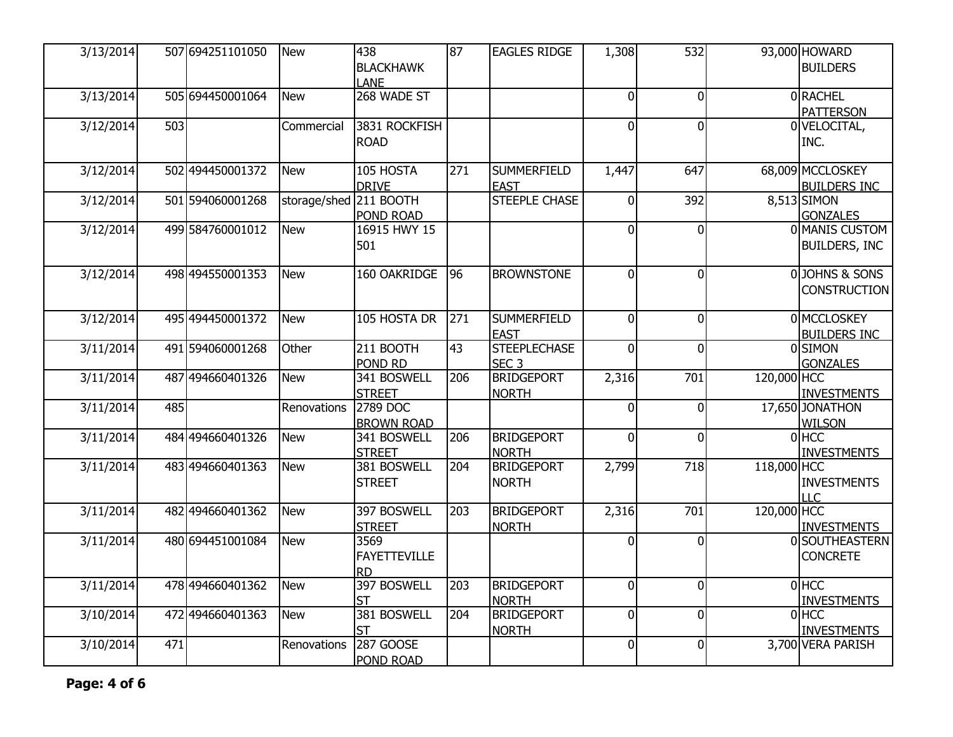| 3/13/2014 |     | 507 694251101050   | <b>New</b>             | 438<br><b>BLACKHAWK</b><br><b>LANE</b>   | 87  | <b>EAGLES RIDGE</b>                     | 1,308          | 532              |             | 93,000 HOWARD<br><b>BUILDERS</b>        |
|-----------|-----|--------------------|------------------------|------------------------------------------|-----|-----------------------------------------|----------------|------------------|-------------|-----------------------------------------|
| 3/13/2014 |     | 505 694450001064   | <b>New</b>             | 268 WADE ST                              |     |                                         | $\overline{0}$ | $\overline{0}$   |             | 0RACHEL<br><b>PATTERSON</b>             |
| 3/12/2014 | 503 |                    | Commercial             | 3831 ROCKFISH<br><b>ROAD</b>             |     |                                         | $\overline{0}$ | $\overline{0}$   |             | 0 VELOCITAL,<br>INC.                    |
| 3/12/2014 |     | 502 494450001372   | <b>New</b>             | 105 HOSTA<br><b>DRIVE</b>                | 271 | <b>SUMMERFIELD</b><br><b>EAST</b>       | 1,447          | 647              |             | 68,009 MCCLOSKEY<br><b>BUILDERS INC</b> |
| 3/12/2014 |     | 501 594060001268   | storage/shed 211 BOOTH | POND ROAD                                |     | <b>STEEPLE CHASE</b>                    | $\overline{0}$ | 392              |             | 8,513 SIMON<br><b>GONZALES</b>          |
| 3/12/2014 |     | 499 584760001012   | <b>New</b>             | 16915 HWY 15<br>501                      |     |                                         | $\overline{0}$ | $\overline{0}$   |             | 0 MANIS CUSTOM<br>BUILDERS, INC         |
| 3/12/2014 |     | 498 494550001353   | <b>New</b>             | 160 OAKRIDGE                             | 96  | <b>BROWNSTONE</b>                       | $\overline{0}$ | $\overline{0}$   |             | 0JOHNS & SONS<br><b>CONSTRUCTION</b>    |
| 3/12/2014 |     | 495 494450001372   | <b>New</b>             | 105 HOSTA DR                             | 271 | <b>SUMMERFIELD</b><br><b>EAST</b>       | $\overline{0}$ | $\overline{0}$   |             | 0 MCCLOSKEY<br><b>BUILDERS INC</b>      |
| 3/11/2014 |     | 491 594060001268   | Other                  | 211 BOOTH<br>POND RD                     | 43  | <b>STEEPLECHASE</b><br>SEC <sub>3</sub> | $\overline{0}$ | $\Omega$         |             | 0SIMON<br><b>GONZALES</b>               |
| 3/11/2014 |     | 487 494660401326   | <b>New</b>             | 341 BOSWELL<br><b>STREET</b>             | 206 | <b>BRIDGEPORT</b><br><b>NORTH</b>       | 2,316          | 701              | 120,000 HCC | <b>INVESTMENTS</b>                      |
| 3/11/2014 | 485 |                    | Renovations            | 2789 DOC<br><b>BROWN ROAD</b>            |     |                                         | $\overline{0}$ | $\overline{0}$   |             | 17,650 JONATHON<br><b>WILSON</b>        |
| 3/11/2014 |     | 484 494 660 401326 | <b>New</b>             | 341 BOSWELL<br><b>STREET</b>             | 206 | <b>BRIDGEPORT</b><br><b>NORTH</b>       | $\overline{0}$ | $\Omega$         |             | $0$ HCC<br><b>INVESTMENTS</b>           |
| 3/11/2014 |     | 483 494660401363   | <b>New</b>             | 381 BOSWELL<br><b>STREET</b>             | 204 | <b>BRIDGEPORT</b><br><b>NORTH</b>       | 2,799          | 718              | 118,000 HCC | <b>INVESTMENTS</b><br><b>LLC</b>        |
| 3/11/2014 |     | 482 494660401362   | <b>New</b>             | 397 BOSWELL<br><b>STREET</b>             | 203 | <b>BRIDGEPORT</b><br><b>NORTH</b>       | 2,316          | $\overline{701}$ | 120,000 HCC | <b>INVESTMENTS</b>                      |
| 3/11/2014 |     | 480 694451001084   | <b>New</b>             | 3569<br><b>FAYETTEVILLE</b><br><b>RD</b> |     |                                         | $\overline{0}$ | $\Omega$         |             | 0SOUTHEASTERN<br><b>CONCRETE</b>        |
| 3/11/2014 |     | 478 494660401362   | <b>New</b>             | 397 BOSWELL<br><b>ST</b>                 | 203 | <b>BRIDGEPORT</b><br><b>NORTH</b>       | $\overline{0}$ | $\Omega$         |             | $0$ HCC<br><b>INVESTMENTS</b>           |
| 3/10/2014 |     | 472 494660401363   | <b>New</b>             | 381 BOSWELL<br><b>ST</b>                 | 204 | <b>BRIDGEPORT</b><br><b>NORTH</b>       | $\overline{0}$ | $\overline{0}$   |             | $0$ HCC<br><b>INVESTMENTS</b>           |
| 3/10/2014 | 471 |                    | Renovations            | 287 GOOSE<br>POND ROAD                   |     |                                         | $\overline{0}$ | $\overline{0}$   |             | 3,700 VERA PARISH                       |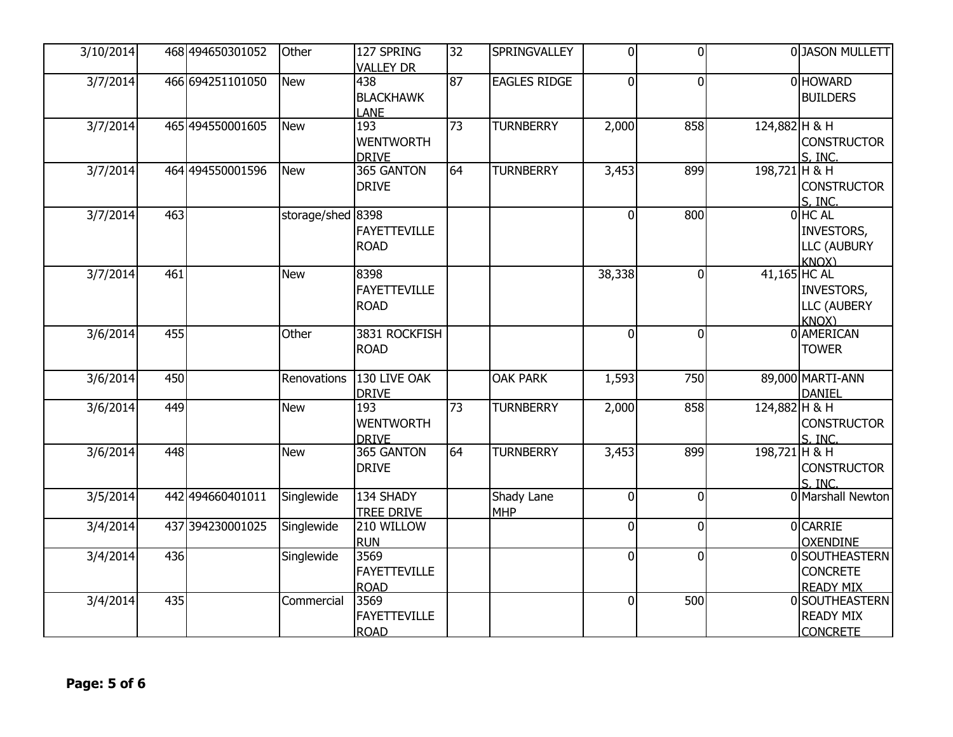| 3/10/2014 |     | 468 494650301052 | Other             | 127 SPRING          | 32 | SPRINGVALLEY        | $\overline{0}$ | $\overline{0}$ |               | 0JASON MULLETT     |
|-----------|-----|------------------|-------------------|---------------------|----|---------------------|----------------|----------------|---------------|--------------------|
|           |     |                  |                   | <b>VALLEY DR</b>    |    |                     |                |                |               |                    |
| 3/7/2014  |     | 466 694251101050 | <b>New</b>        | 438                 | 87 | <b>EAGLES RIDGE</b> | $\Omega$       | $\mathbf{0}$   |               | 0 HOWARD           |
|           |     |                  |                   | <b>BLACKHAWK</b>    |    |                     |                |                |               | <b>BUILDERS</b>    |
|           |     |                  |                   | <b>LANE</b>         |    |                     |                |                |               |                    |
| 3/7/2014  |     | 465 494550001605 | <b>New</b>        | 193                 | 73 | <b>TURNBERRY</b>    | 2,000          | 858            | 124,882 H & H |                    |
|           |     |                  |                   | <b>WENTWORTH</b>    |    |                     |                |                |               | <b>CONSTRUCTOR</b> |
|           |     |                  |                   | <b>DRIVE</b>        |    |                     |                |                |               | S, INC.            |
| 3/7/2014  |     | 464 494550001596 | <b>New</b>        | 365 GANTON          | 64 | <b>TURNBERRY</b>    | 3,453          | 899            | 198,721 H & H |                    |
|           |     |                  |                   | <b>DRIVE</b>        |    |                     |                |                |               | <b>CONSTRUCTOR</b> |
|           |     |                  |                   |                     |    |                     |                |                |               | S. INC.            |
| 3/7/2014  | 463 |                  | storage/shed 8398 |                     |    |                     | $\Omega$       | 800            |               | $0$ HC AL          |
|           |     |                  |                   | <b>FAYETTEVILLE</b> |    |                     |                |                |               | INVESTORS,         |
|           |     |                  |                   |                     |    |                     |                |                |               |                    |
|           |     |                  |                   | <b>ROAD</b>         |    |                     |                |                |               | LLC (AUBURY        |
|           |     |                  |                   | 8398                |    |                     |                |                |               | <b>KNOX</b> )      |
| 3/7/2014  | 461 |                  | <b>New</b>        |                     |    |                     | 38,338         | $\Omega$       | 41,165 HC AL  |                    |
|           |     |                  |                   | <b>FAYETTEVILLE</b> |    |                     |                |                |               | INVESTORS,         |
|           |     |                  |                   | <b>ROAD</b>         |    |                     |                |                |               | <b>LLC (AUBERY</b> |
|           |     |                  |                   |                     |    |                     |                |                |               | <b>KNOX</b> )      |
| 3/6/2014  | 455 |                  | Other             | 3831 ROCKFISH       |    |                     | $\overline{0}$ | $\mathbf{0}$   |               | 0 AMERICAN         |
|           |     |                  |                   | <b>ROAD</b>         |    |                     |                |                |               | <b>TOWER</b>       |
|           |     |                  |                   |                     |    |                     |                |                |               |                    |
| 3/6/2014  | 450 |                  | Renovations       | 130 LIVE OAK        |    | <b>OAK PARK</b>     | 1,593          | 750            |               | 89,000 MARTI-ANN   |
|           |     |                  |                   | <b>DRIVE</b>        |    |                     |                |                |               | <b>DANIEL</b>      |
| 3/6/2014  | 449 |                  | <b>New</b>        | 193                 | 73 | <b>TURNBERRY</b>    | 2,000          | 858            | 124,882 H & H |                    |
|           |     |                  |                   | <b>WENTWORTH</b>    |    |                     |                |                |               | <b>CONSTRUCTOR</b> |
|           |     |                  |                   | <b>DRIVE</b>        |    |                     |                |                |               | S. INC.            |
| 3/6/2014  | 448 |                  | <b>New</b>        | 365 GANTON          | 64 | <b>TURNBERRY</b>    | 3,453          | 899            | 198,721 H & H |                    |
|           |     |                  |                   | <b>DRIVE</b>        |    |                     |                |                |               | <b>CONSTRUCTOR</b> |
|           |     |                  |                   |                     |    |                     |                |                |               | S, INC.            |
| 3/5/2014  |     | 442 494660401011 | Singlewide        | 134 SHADY           |    | Shady Lane          | $\Omega$       | $\Omega$       |               | 0 Marshall Newton  |
|           |     |                  |                   | <b>TREE DRIVE</b>   |    | MHP                 |                |                |               |                    |
| 3/4/2014  |     | 437 394230001025 | Singlewide        | 210 WILLOW          |    |                     | $\overline{0}$ | $\overline{0}$ |               | <b>OCARRIE</b>     |
|           |     |                  |                   | <b>RUN</b>          |    |                     |                |                |               | <b>OXENDINE</b>    |
| 3/4/2014  | 436 |                  | Singlewide        | 3569                |    |                     | $\overline{0}$ | $\Omega$       |               | 0 SOUTHEASTERN     |
|           |     |                  |                   | FAYETTEVILLE        |    |                     |                |                |               | <b>CONCRETE</b>    |
|           |     |                  |                   | <b>ROAD</b>         |    |                     |                |                |               | <b>READY MIX</b>   |
| 3/4/2014  | 435 |                  | Commercial        | 3569                |    |                     | $\Omega$       | 500            |               | 0 SOUTHEASTERN     |
|           |     |                  |                   |                     |    |                     |                |                |               |                    |
|           |     |                  |                   | <b>FAYETTEVILLE</b> |    |                     |                |                |               | <b>READY MIX</b>   |
|           |     |                  |                   | <b>ROAD</b>         |    |                     |                |                |               | <b>CONCRETE</b>    |